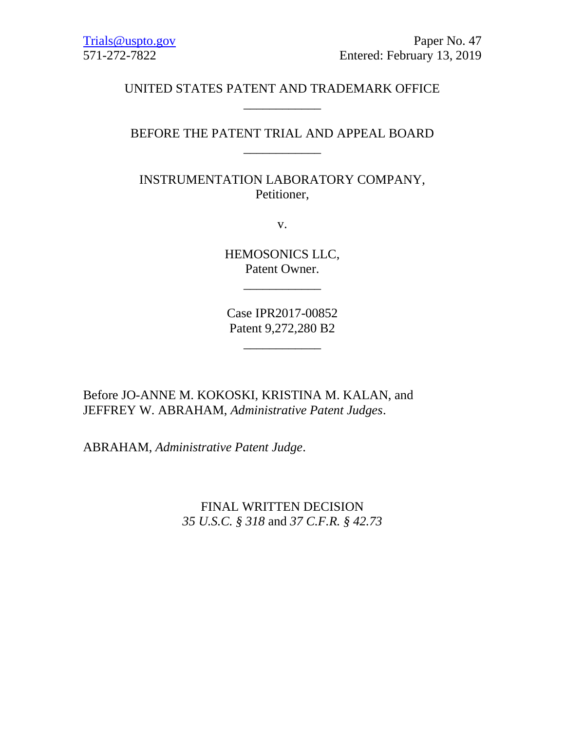# UNITED STATES PATENT AND TRADEMARK OFFICE \_\_\_\_\_\_\_\_\_\_\_\_

# BEFORE THE PATENT TRIAL AND APPEAL BOARD \_\_\_\_\_\_\_\_\_\_\_\_

INSTRUMENTATION LABORATORY COMPANY, Petitioner,

v.

HEMOSONICS LLC, Patent Owner.

\_\_\_\_\_\_\_\_\_\_\_\_

Case IPR2017-00852 Patent 9,272,280 B2

\_\_\_\_\_\_\_\_\_\_\_\_

Before JO-ANNE M. KOKOSKI, KRISTINA M. KALAN, and JEFFREY W. ABRAHAM, *Administrative Patent Judges*.

ABRAHAM, *Administrative Patent Judge*.

FINAL WRITTEN DECISION *35 U.S.C. § 318* and *37 C.F.R. § 42.73*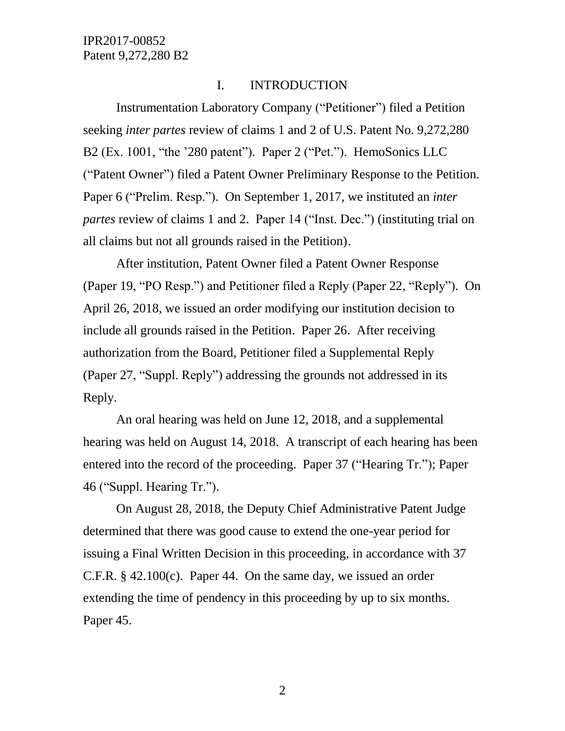#### I. INTRODUCTION

Instrumentation Laboratory Company ("Petitioner") filed a Petition seeking *inter partes* review of claims 1 and 2 of U.S. Patent No. 9,272,280 B2 (Ex. 1001, "the '280 patent"). Paper 2 ("Pet."). HemoSonics LLC ("Patent Owner") filed a Patent Owner Preliminary Response to the Petition. Paper 6 ("Prelim. Resp."). On September 1, 2017, we instituted an *inter partes* review of claims 1 and 2. Paper 14 ("Inst. Dec.") (instituting trial on all claims but not all grounds raised in the Petition).

After institution, Patent Owner filed a Patent Owner Response (Paper 19, "PO Resp.") and Petitioner filed a Reply (Paper 22, "Reply"). On April 26, 2018, we issued an order modifying our institution decision to include all grounds raised in the Petition. Paper 26. After receiving authorization from the Board, Petitioner filed a Supplemental Reply (Paper 27, "Suppl. Reply") addressing the grounds not addressed in its Reply.

An oral hearing was held on June 12, 2018, and a supplemental hearing was held on August 14, 2018. A transcript of each hearing has been entered into the record of the proceeding. Paper 37 ("Hearing Tr."); Paper 46 ("Suppl. Hearing Tr.").

On August 28, 2018, the Deputy Chief Administrative Patent Judge determined that there was good cause to extend the one-year period for issuing a Final Written Decision in this proceeding, in accordance with 37 C.F.R. § 42.100(c). Paper 44. On the same day, we issued an order extending the time of pendency in this proceeding by up to six months. Paper 45.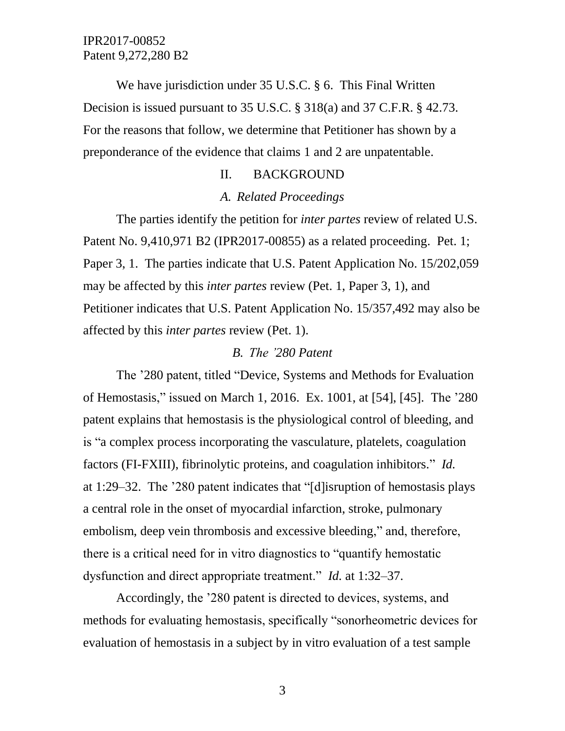We have jurisdiction under 35 U.S.C. § 6. This Final Written Decision is issued pursuant to 35 U.S.C. § 318(a) and 37 C.F.R. § 42.73. For the reasons that follow, we determine that Petitioner has shown by a preponderance of the evidence that claims 1 and 2 are unpatentable.

## II. BACKGROUND

## *A. Related Proceedings*

The parties identify the petition for *inter partes* review of related U.S. Patent No. 9,410,971 B2 (IPR2017-00855) as a related proceeding. Pet. 1; Paper 3, 1. The parties indicate that U.S. Patent Application No. 15/202,059 may be affected by this *inter partes* review (Pet. 1, Paper 3, 1), and Petitioner indicates that U.S. Patent Application No. 15/357,492 may also be affected by this *inter partes* review (Pet. 1).

#### *B. The '280 Patent*

The '280 patent, titled "Device, Systems and Methods for Evaluation of Hemostasis," issued on March 1, 2016. Ex. 1001, at [54], [45]. The '280 patent explains that hemostasis is the physiological control of bleeding, and is "a complex process incorporating the vasculature, platelets, coagulation factors (FI-FXIII), fibrinolytic proteins, and coagulation inhibitors." *Id.* at 1:29–32. The '280 patent indicates that "[d]isruption of hemostasis plays a central role in the onset of myocardial infarction, stroke, pulmonary embolism, deep vein thrombosis and excessive bleeding," and, therefore, there is a critical need for in vitro diagnostics to "quantify hemostatic dysfunction and direct appropriate treatment." *Id.* at 1:32–37.

Accordingly, the '280 patent is directed to devices, systems, and methods for evaluating hemostasis, specifically "sonorheometric devices for evaluation of hemostasis in a subject by in vitro evaluation of a test sample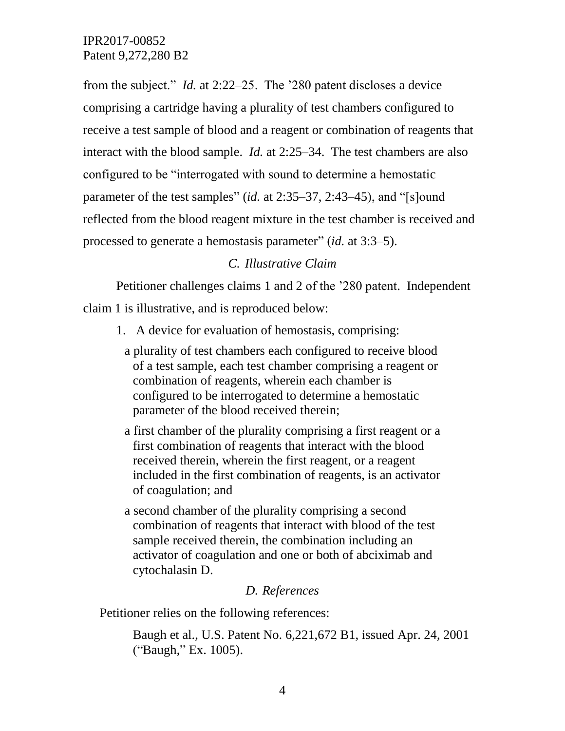from the subject." *Id.* at 2:22–25. The '280 patent discloses a device comprising a cartridge having a plurality of test chambers configured to receive a test sample of blood and a reagent or combination of reagents that interact with the blood sample. *Id.* at 2:25–34. The test chambers are also configured to be "interrogated with sound to determine a hemostatic parameter of the test samples" (*id.* at 2:35–37, 2:43–45), and "[s]ound reflected from the blood reagent mixture in the test chamber is received and processed to generate a hemostasis parameter" (*id.* at 3:3–5).

## *C. Illustrative Claim*

Petitioner challenges claims 1 and 2 of the '280 patent. Independent claim 1 is illustrative, and is reproduced below:

- 1. A device for evaluation of hemostasis, comprising:
	- a plurality of test chambers each configured to receive blood of a test sample, each test chamber comprising a reagent or combination of reagents, wherein each chamber is configured to be interrogated to determine a hemostatic parameter of the blood received therein;
	- a first chamber of the plurality comprising a first reagent or a first combination of reagents that interact with the blood received therein, wherein the first reagent, or a reagent included in the first combination of reagents, is an activator of coagulation; and
	- a second chamber of the plurality comprising a second combination of reagents that interact with blood of the test sample received therein, the combination including an activator of coagulation and one or both of abciximab and cytochalasin D.

#### *D. References*

Petitioner relies on the following references:

Baugh et al., U.S. Patent No. 6,221,672 B1, issued Apr. 24, 2001 ("Baugh," Ex. 1005).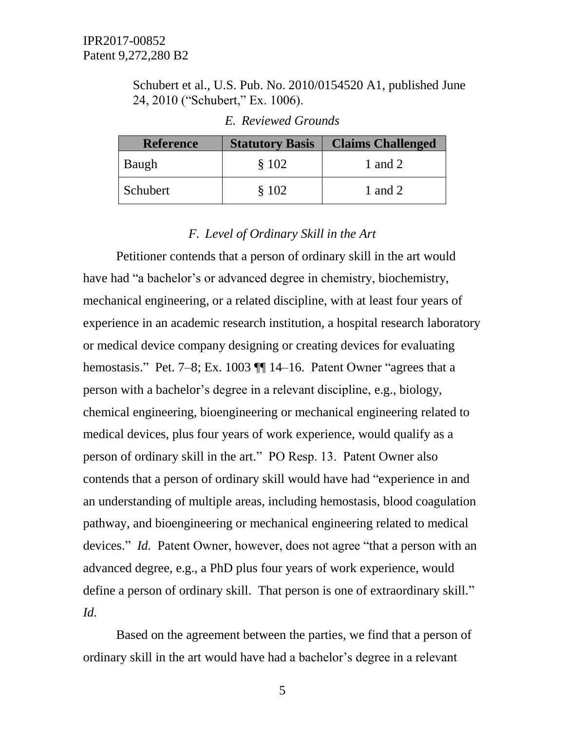Schubert et al., U.S. Pub. No. 2010/0154520 A1, published June 24, 2010 ("Schubert," Ex. 1006).

| <b>Reference</b> | <b>Statutory Basis</b> | <b>Claims Challenged</b> |
|------------------|------------------------|--------------------------|
| Baugh            | \$102                  | 1 and 2                  |
| Schubert         | \$102                  | 1 and 2                  |

#### *E. Reviewed Grounds*

#### *F. Level of Ordinary Skill in the Art*

Petitioner contends that a person of ordinary skill in the art would have had "a bachelor's or advanced degree in chemistry, biochemistry, mechanical engineering, or a related discipline, with at least four years of experience in an academic research institution, a hospital research laboratory or medical device company designing or creating devices for evaluating hemostasis." Pet. 7–8; Ex. 1003 ¶ 14–16. Patent Owner "agrees that a person with a bachelor's degree in a relevant discipline, e.g., biology, chemical engineering, bioengineering or mechanical engineering related to medical devices, plus four years of work experience, would qualify as a person of ordinary skill in the art." PO Resp. 13. Patent Owner also contends that a person of ordinary skill would have had "experience in and an understanding of multiple areas, including hemostasis, blood coagulation pathway, and bioengineering or mechanical engineering related to medical devices." *Id.* Patent Owner, however, does not agree "that a person with an advanced degree, e.g., a PhD plus four years of work experience, would define a person of ordinary skill. That person is one of extraordinary skill." *Id.*

Based on the agreement between the parties, we find that a person of ordinary skill in the art would have had a bachelor's degree in a relevant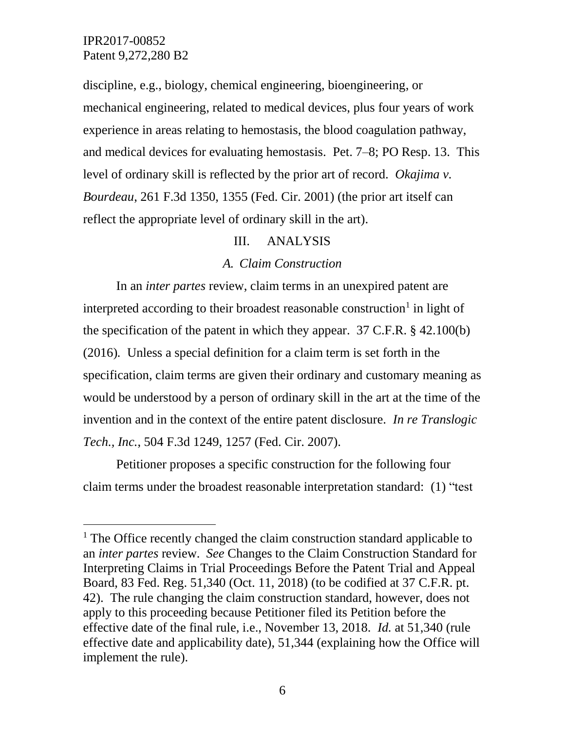$\overline{a}$ 

discipline, e.g., biology, chemical engineering, bioengineering, or mechanical engineering, related to medical devices, plus four years of work experience in areas relating to hemostasis, the blood coagulation pathway, and medical devices for evaluating hemostasis. Pet. 7–8; PO Resp. 13. This level of ordinary skill is reflected by the prior art of record. *Okajima v. Bourdeau*, 261 F.3d 1350, 1355 (Fed. Cir. 2001) (the prior art itself can reflect the appropriate level of ordinary skill in the art).

#### III. ANALYSIS

#### *A. Claim Construction*

In an *inter partes* review, claim terms in an unexpired patent are interpreted according to their broadest reasonable construction<sup>1</sup> in light of the specification of the patent in which they appear. 37 C.F.R. § 42.100(b) (2016)*.* Unless a special definition for a claim term is set forth in the specification, claim terms are given their ordinary and customary meaning as would be understood by a person of ordinary skill in the art at the time of the invention and in the context of the entire patent disclosure. *In re Translogic Tech., Inc.*, 504 F.3d 1249, 1257 (Fed. Cir. 2007).

Petitioner proposes a specific construction for the following four claim terms under the broadest reasonable interpretation standard: (1) "test

<sup>&</sup>lt;sup>1</sup> The Office recently changed the claim construction standard applicable to an *inter partes* review. *See* Changes to the Claim Construction Standard for Interpreting Claims in Trial Proceedings Before the Patent Trial and Appeal Board, 83 Fed. Reg. 51,340 (Oct. 11, 2018) (to be codified at 37 C.F.R. pt. 42). The rule changing the claim construction standard, however, does not apply to this proceeding because Petitioner filed its Petition before the effective date of the final rule, i.e., November 13, 2018. *Id.* at 51,340 (rule effective date and applicability date), 51,344 (explaining how the Office will implement the rule).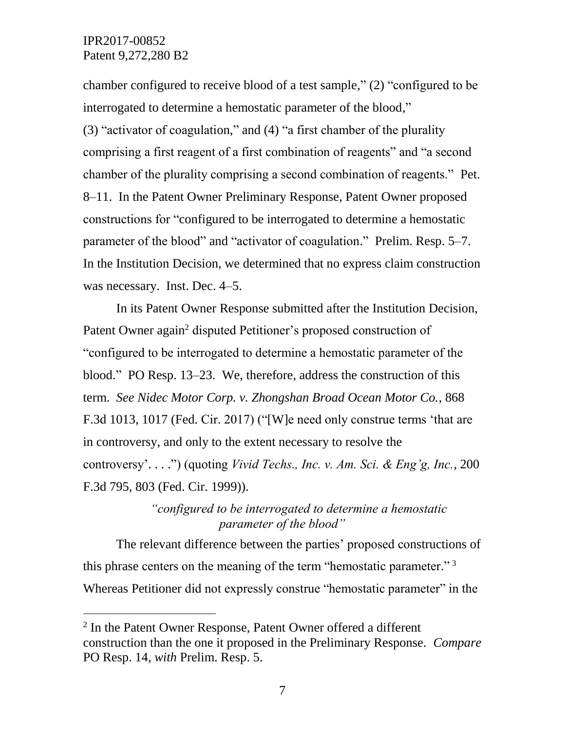$\overline{a}$ 

chamber configured to receive blood of a test sample," (2) "configured to be interrogated to determine a hemostatic parameter of the blood," (3) "activator of coagulation," and (4) "a first chamber of the plurality comprising a first reagent of a first combination of reagents" and "a second chamber of the plurality comprising a second combination of reagents." Pet. 8–11. In the Patent Owner Preliminary Response, Patent Owner proposed constructions for "configured to be interrogated to determine a hemostatic parameter of the blood" and "activator of coagulation." Prelim. Resp. 5–7. In the Institution Decision, we determined that no express claim construction was necessary. Inst. Dec. 4–5.

In its Patent Owner Response submitted after the Institution Decision, Patent Owner again<sup>2</sup> disputed Petitioner's proposed construction of "configured to be interrogated to determine a hemostatic parameter of the blood." PO Resp. 13–23. We, therefore, address the construction of this term. *See Nidec Motor Corp. v. Zhongshan Broad Ocean Motor Co.*, 868 F.3d 1013, 1017 (Fed. Cir. 2017) ("[W]e need only construe terms 'that are in controversy, and only to the extent necessary to resolve the controversy'. . . .") (quoting *Vivid Techs., Inc. v. Am. Sci. & Eng'g, Inc.*, 200 F.3d 795, 803 (Fed. Cir. 1999)).

# *"configured to be interrogated to determine a hemostatic parameter of the blood"*

The relevant difference between the parties' proposed constructions of this phrase centers on the meaning of the term "hemostatic parameter."<sup>3</sup> Whereas Petitioner did not expressly construe "hemostatic parameter" in the

<sup>&</sup>lt;sup>2</sup> In the Patent Owner Response, Patent Owner offered a different construction than the one it proposed in the Preliminary Response. *Compare* PO Resp. 14, *with* Prelim. Resp. 5.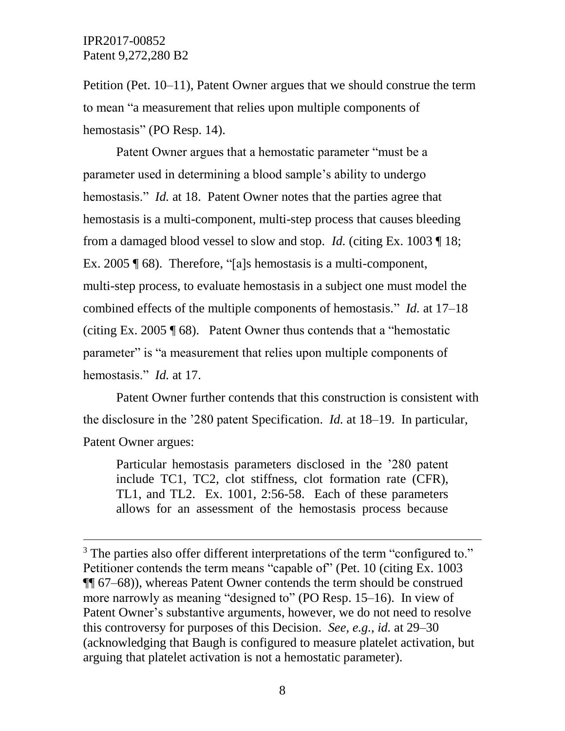l

Petition (Pet. 10–11), Patent Owner argues that we should construe the term to mean "a measurement that relies upon multiple components of hemostasis" (PO Resp. 14).

Patent Owner argues that a hemostatic parameter "must be a parameter used in determining a blood sample's ability to undergo hemostasis." *Id.* at 18. Patent Owner notes that the parties agree that hemostasis is a multi-component, multi-step process that causes bleeding from a damaged blood vessel to slow and stop. *Id.* (citing Ex. 1003 ¶ 18; Ex. 2005 ¶ 68). Therefore, "[a]s hemostasis is a multi-component, multi-step process, to evaluate hemostasis in a subject one must model the combined effects of the multiple components of hemostasis." *Id.* at 17–18 (citing Ex. 2005 ¶ 68). Patent Owner thus contends that a "hemostatic parameter" is "a measurement that relies upon multiple components of hemostasis." *Id.* at 17.

Patent Owner further contends that this construction is consistent with the disclosure in the '280 patent Specification. *Id.* at 18–19. In particular, Patent Owner argues:

Particular hemostasis parameters disclosed in the '280 patent include TC1, TC2, clot stiffness, clot formation rate (CFR), TL1, and TL2. Ex. 1001, 2:56-58. Each of these parameters allows for an assessment of the hemostasis process because

 $3$  The parties also offer different interpretations of the term "configured to." Petitioner contends the term means "capable of" (Pet. 10 (citing Ex. 1003 ¶¶ 67–68)), whereas Patent Owner contends the term should be construed more narrowly as meaning "designed to" (PO Resp. 15–16). In view of Patent Owner's substantive arguments, however, we do not need to resolve this controversy for purposes of this Decision. *See, e.g.*, *id.* at 29–30 (acknowledging that Baugh is configured to measure platelet activation, but arguing that platelet activation is not a hemostatic parameter).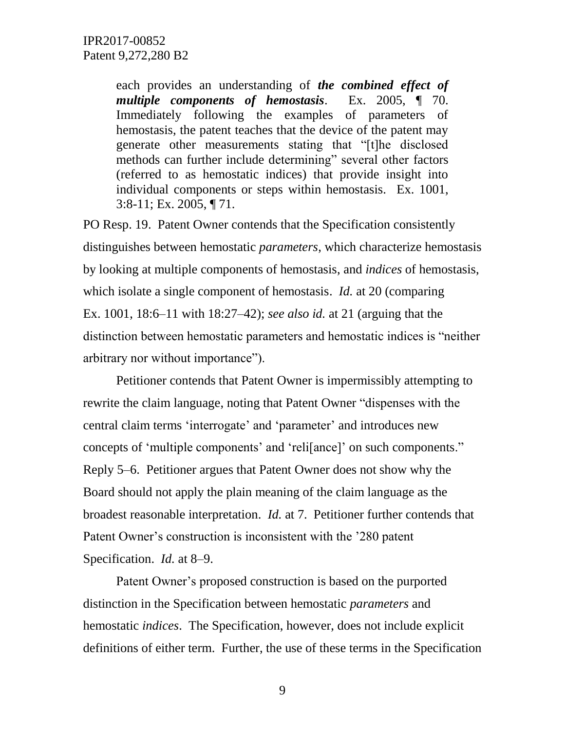each provides an understanding of *the combined effect of multiple components of hemostasis*. Ex. 2005, ¶ 70. Immediately following the examples of parameters of hemostasis, the patent teaches that the device of the patent may generate other measurements stating that "[t]he disclosed methods can further include determining" several other factors (referred to as hemostatic indices) that provide insight into individual components or steps within hemostasis. Ex. 1001, 3:8-11; Ex. 2005, ¶ 71.

PO Resp. 19. Patent Owner contends that the Specification consistently distinguishes between hemostatic *parameters*, which characterize hemostasis by looking at multiple components of hemostasis, and *indices* of hemostasis, which isolate a single component of hemostasis. *Id.* at 20 (comparing Ex. 1001, 18:6–11 with 18:27–42); *see also id.* at 21 (arguing that the distinction between hemostatic parameters and hemostatic indices is "neither arbitrary nor without importance").

Petitioner contends that Patent Owner is impermissibly attempting to rewrite the claim language, noting that Patent Owner "dispenses with the central claim terms 'interrogate' and 'parameter' and introduces new concepts of 'multiple components' and 'reli[ance]' on such components." Reply 5–6. Petitioner argues that Patent Owner does not show why the Board should not apply the plain meaning of the claim language as the broadest reasonable interpretation. *Id.* at 7. Petitioner further contends that Patent Owner's construction is inconsistent with the '280 patent Specification. *Id.* at 8–9.

Patent Owner's proposed construction is based on the purported distinction in the Specification between hemostatic *parameters* and hemostatic *indices*. The Specification, however, does not include explicit definitions of either term. Further, the use of these terms in the Specification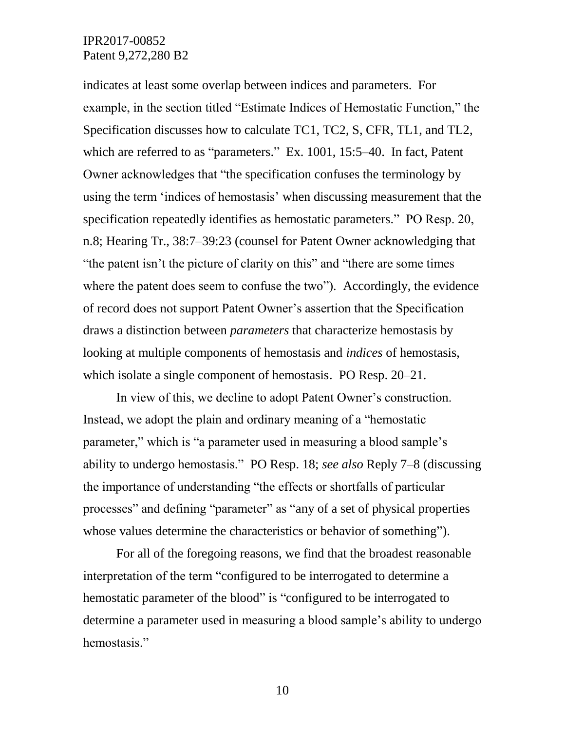indicates at least some overlap between indices and parameters. For example, in the section titled "Estimate Indices of Hemostatic Function," the Specification discusses how to calculate TC1, TC2, S, CFR, TL1, and TL2, which are referred to as "parameters." Ex. 1001, 15:5–40. In fact, Patent Owner acknowledges that "the specification confuses the terminology by using the term 'indices of hemostasis' when discussing measurement that the specification repeatedly identifies as hemostatic parameters." PO Resp. 20, n.8; Hearing Tr., 38:7–39:23 (counsel for Patent Owner acknowledging that "the patent isn't the picture of clarity on this" and "there are some times where the patent does seem to confuse the two"). Accordingly, the evidence of record does not support Patent Owner's assertion that the Specification draws a distinction between *parameters* that characterize hemostasis by looking at multiple components of hemostasis and *indices* of hemostasis, which isolate a single component of hemostasis. PO Resp. 20–21.

In view of this, we decline to adopt Patent Owner's construction. Instead, we adopt the plain and ordinary meaning of a "hemostatic parameter," which is "a parameter used in measuring a blood sample's ability to undergo hemostasis." PO Resp. 18; *see also* Reply 7–8 (discussing the importance of understanding "the effects or shortfalls of particular processes" and defining "parameter" as "any of a set of physical properties whose values determine the characteristics or behavior of something").

For all of the foregoing reasons, we find that the broadest reasonable interpretation of the term "configured to be interrogated to determine a hemostatic parameter of the blood" is "configured to be interrogated to determine a parameter used in measuring a blood sample's ability to undergo hemostasis."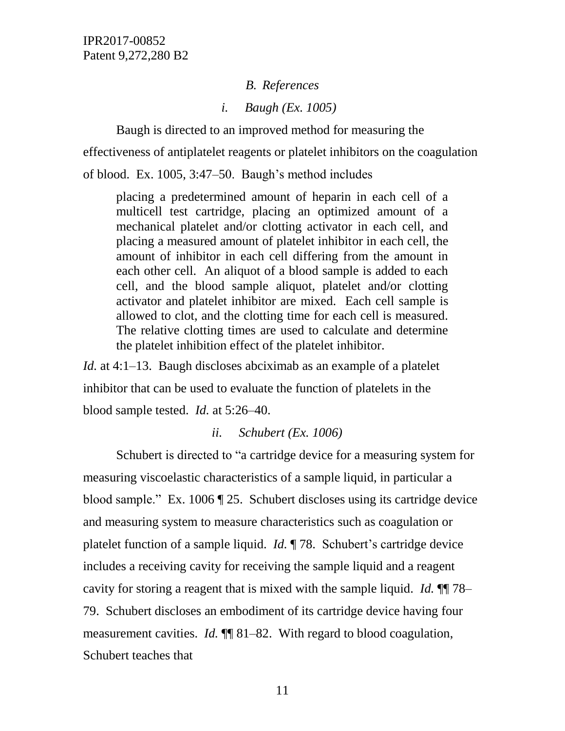*B. References*

*i. Baugh (Ex. 1005)*

Baugh is directed to an improved method for measuring the effectiveness of antiplatelet reagents or platelet inhibitors on the coagulation of blood. Ex. 1005, 3:47–50. Baugh's method includes

placing a predetermined amount of heparin in each cell of a multicell test cartridge, placing an optimized amount of a mechanical platelet and/or clotting activator in each cell, and placing a measured amount of platelet inhibitor in each cell, the amount of inhibitor in each cell differing from the amount in each other cell. An aliquot of a blood sample is added to each cell, and the blood sample aliquot, platelet and/or clotting activator and platelet inhibitor are mixed. Each cell sample is allowed to clot, and the clotting time for each cell is measured. The relative clotting times are used to calculate and determine the platelet inhibition effect of the platelet inhibitor.

*Id.* at 4:1–13. Baugh discloses abciximab as an example of a platelet inhibitor that can be used to evaluate the function of platelets in the blood sample tested. *Id.* at 5:26–40.

### *ii. Schubert (Ex. 1006)*

Schubert is directed to "a cartridge device for a measuring system for measuring viscoelastic characteristics of a sample liquid, in particular a blood sample." Ex. 1006 ¶ 25. Schubert discloses using its cartridge device and measuring system to measure characteristics such as coagulation or platelet function of a sample liquid. *Id.* ¶ 78. Schubert's cartridge device includes a receiving cavity for receiving the sample liquid and a reagent cavity for storing a reagent that is mixed with the sample liquid. *Id.* ¶¶ 78– 79. Schubert discloses an embodiment of its cartridge device having four measurement cavities. *Id.*  $\P$  81–82. With regard to blood coagulation, Schubert teaches that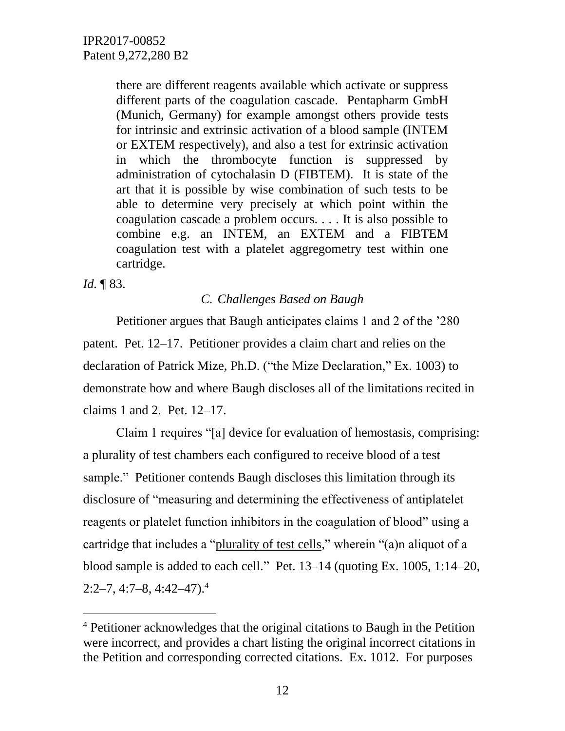there are different reagents available which activate or suppress different parts of the coagulation cascade. Pentapharm GmbH (Munich, Germany) for example amongst others provide tests for intrinsic and extrinsic activation of a blood sample (INTEM or EXTEM respectively), and also a test for extrinsic activation in which the thrombocyte function is suppressed by administration of cytochalasin D (FIBTEM). It is state of the art that it is possible by wise combination of such tests to be able to determine very precisely at which point within the coagulation cascade a problem occurs. . . . It is also possible to combine e.g. an INTEM, an EXTEM and a FIBTEM coagulation test with a platelet aggregometry test within one cartridge.

*Id.* ¶ 83.

 $\overline{a}$ 

# *C. Challenges Based on Baugh*

Petitioner argues that Baugh anticipates claims 1 and 2 of the '280 patent. Pet. 12–17. Petitioner provides a claim chart and relies on the declaration of Patrick Mize, Ph.D. ("the Mize Declaration," Ex. 1003) to demonstrate how and where Baugh discloses all of the limitations recited in claims 1 and 2. Pet. 12–17.

Claim 1 requires "[a] device for evaluation of hemostasis, comprising: a plurality of test chambers each configured to receive blood of a test sample." Petitioner contends Baugh discloses this limitation through its disclosure of "measuring and determining the effectiveness of antiplatelet reagents or platelet function inhibitors in the coagulation of blood" using a cartridge that includes a "plurality of test cells," wherein "(a)n aliquot of a blood sample is added to each cell." Pet. 13–14 (quoting Ex. 1005, 1:14–20,  $2:2-7, 4:7-8, 4:42-47.4$ 

<sup>4</sup> Petitioner acknowledges that the original citations to Baugh in the Petition were incorrect, and provides a chart listing the original incorrect citations in the Petition and corresponding corrected citations. Ex. 1012. For purposes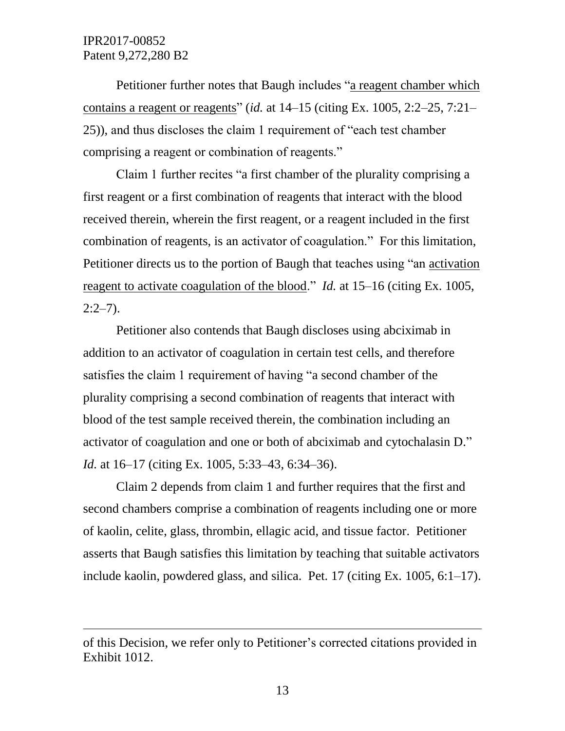$\overline{a}$ 

Petitioner further notes that Baugh includes "a reagent chamber which contains a reagent or reagents" (*id.* at 14–15 (citing Ex. 1005, 2:2–25, 7:21– 25)), and thus discloses the claim 1 requirement of "each test chamber comprising a reagent or combination of reagents."

Claim 1 further recites "a first chamber of the plurality comprising a first reagent or a first combination of reagents that interact with the blood received therein, wherein the first reagent, or a reagent included in the first combination of reagents, is an activator of coagulation." For this limitation, Petitioner directs us to the portion of Baugh that teaches using "an activation reagent to activate coagulation of the blood." *Id.* at 15–16 (citing Ex. 1005,  $2:2-7$ ).

Petitioner also contends that Baugh discloses using abciximab in addition to an activator of coagulation in certain test cells, and therefore satisfies the claim 1 requirement of having "a second chamber of the plurality comprising a second combination of reagents that interact with blood of the test sample received therein, the combination including an activator of coagulation and one or both of abciximab and cytochalasin D." *Id.* at 16–17 (citing Ex. 1005, 5:33–43, 6:34–36).

Claim 2 depends from claim 1 and further requires that the first and second chambers comprise a combination of reagents including one or more of kaolin, celite, glass, thrombin, ellagic acid, and tissue factor. Petitioner asserts that Baugh satisfies this limitation by teaching that suitable activators include kaolin, powdered glass, and silica. Pet. 17 (citing Ex. 1005, 6:1–17).

of this Decision, we refer only to Petitioner's corrected citations provided in Exhibit 1012.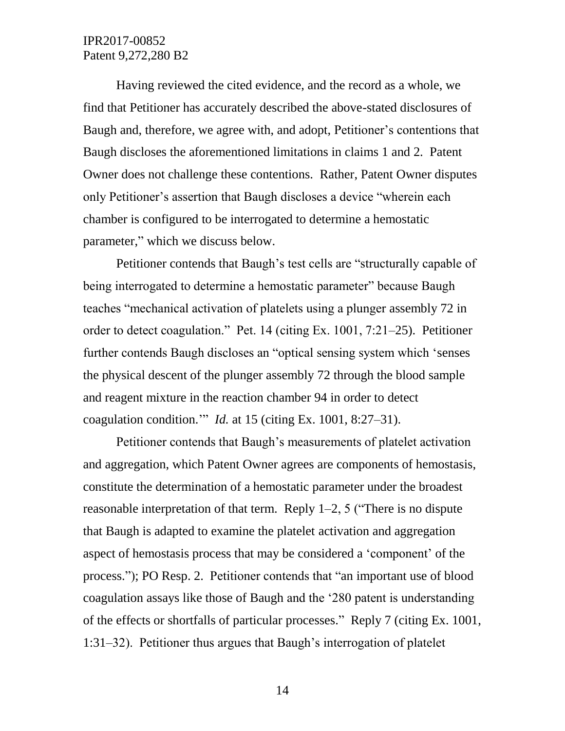Having reviewed the cited evidence, and the record as a whole, we find that Petitioner has accurately described the above-stated disclosures of Baugh and, therefore, we agree with, and adopt, Petitioner's contentions that Baugh discloses the aforementioned limitations in claims 1 and 2. Patent Owner does not challenge these contentions. Rather, Patent Owner disputes only Petitioner's assertion that Baugh discloses a device "wherein each chamber is configured to be interrogated to determine a hemostatic parameter," which we discuss below.

Petitioner contends that Baugh's test cells are "structurally capable of being interrogated to determine a hemostatic parameter" because Baugh teaches "mechanical activation of platelets using a plunger assembly 72 in order to detect coagulation." Pet. 14 (citing Ex. 1001, 7:21–25). Petitioner further contends Baugh discloses an "optical sensing system which 'senses the physical descent of the plunger assembly 72 through the blood sample and reagent mixture in the reaction chamber 94 in order to detect coagulation condition.'" *Id.* at 15 (citing Ex. 1001, 8:27–31).

Petitioner contends that Baugh's measurements of platelet activation and aggregation, which Patent Owner agrees are components of hemostasis, constitute the determination of a hemostatic parameter under the broadest reasonable interpretation of that term. Reply 1–2, 5 ("There is no dispute that Baugh is adapted to examine the platelet activation and aggregation aspect of hemostasis process that may be considered a 'component' of the process."); PO Resp. 2. Petitioner contends that "an important use of blood coagulation assays like those of Baugh and the '280 patent is understanding of the effects or shortfalls of particular processes." Reply 7 (citing Ex. 1001, 1:31–32). Petitioner thus argues that Baugh's interrogation of platelet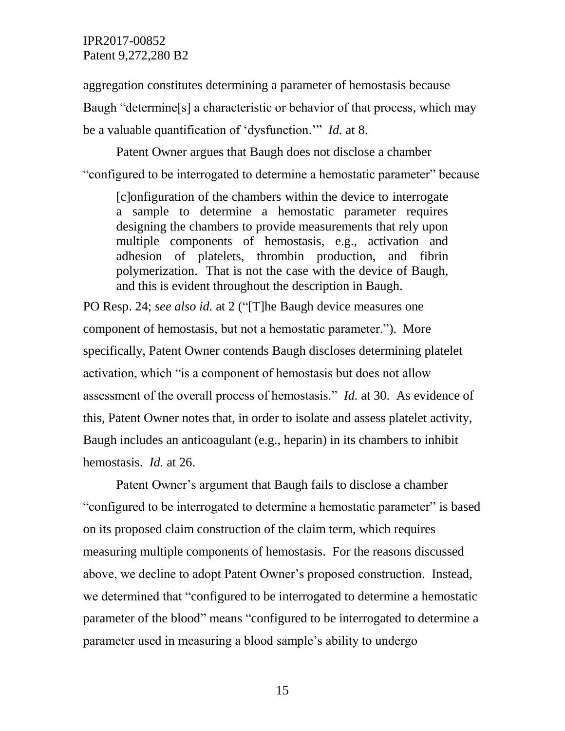aggregation constitutes determining a parameter of hemostasis because Baugh "determine[s] a characteristic or behavior of that process, which may be a valuable quantification of 'dysfunction.'" *Id.* at 8.

Patent Owner argues that Baugh does not disclose a chamber "configured to be interrogated to determine a hemostatic parameter" because

[c]onfiguration of the chambers within the device to interrogate a sample to determine a hemostatic parameter requires designing the chambers to provide measurements that rely upon multiple components of hemostasis, e.g., activation and adhesion of platelets, thrombin production, and fibrin polymerization. That is not the case with the device of Baugh, and this is evident throughout the description in Baugh.

PO Resp. 24; *see also id.* at 2 ("[T]he Baugh device measures one component of hemostasis, but not a hemostatic parameter."). More specifically, Patent Owner contends Baugh discloses determining platelet activation, which "is a component of hemostasis but does not allow assessment of the overall process of hemostasis." *Id.* at 30. As evidence of this, Patent Owner notes that, in order to isolate and assess platelet activity, Baugh includes an anticoagulant (e.g., heparin) in its chambers to inhibit hemostasis. *Id.* at 26.

Patent Owner's argument that Baugh fails to disclose a chamber "configured to be interrogated to determine a hemostatic parameter" is based on its proposed claim construction of the claim term, which requires measuring multiple components of hemostasis. For the reasons discussed above, we decline to adopt Patent Owner's proposed construction. Instead, we determined that "configured to be interrogated to determine a hemostatic parameter of the blood" means "configured to be interrogated to determine a parameter used in measuring a blood sample's ability to undergo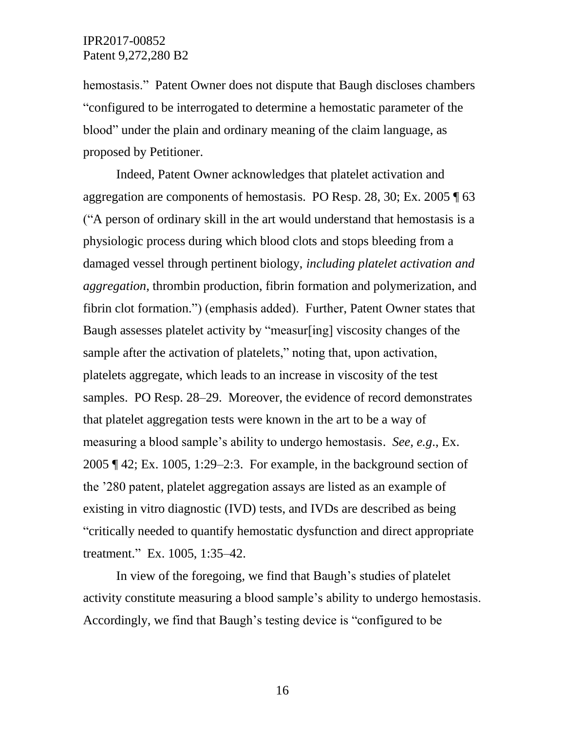hemostasis." Patent Owner does not dispute that Baugh discloses chambers "configured to be interrogated to determine a hemostatic parameter of the blood" under the plain and ordinary meaning of the claim language, as proposed by Petitioner.

Indeed, Patent Owner acknowledges that platelet activation and aggregation are components of hemostasis. PO Resp. 28, 30; Ex. 2005 ¶ 63 ("A person of ordinary skill in the art would understand that hemostasis is a physiologic process during which blood clots and stops bleeding from a damaged vessel through pertinent biology, *including platelet activation and aggregation*, thrombin production, fibrin formation and polymerization, and fibrin clot formation.") (emphasis added). Further, Patent Owner states that Baugh assesses platelet activity by "measur[ing] viscosity changes of the sample after the activation of platelets," noting that, upon activation, platelets aggregate, which leads to an increase in viscosity of the test samples. PO Resp. 28–29. Moreover, the evidence of record demonstrates that platelet aggregation tests were known in the art to be a way of measuring a blood sample's ability to undergo hemostasis. *See, e.g*., Ex. 2005 ¶ 42; Ex. 1005, 1:29–2:3. For example, in the background section of the '280 patent, platelet aggregation assays are listed as an example of existing in vitro diagnostic (IVD) tests, and IVDs are described as being "critically needed to quantify hemostatic dysfunction and direct appropriate treatment." Ex. 1005, 1:35–42.

In view of the foregoing, we find that Baugh's studies of platelet activity constitute measuring a blood sample's ability to undergo hemostasis. Accordingly, we find that Baugh's testing device is "configured to be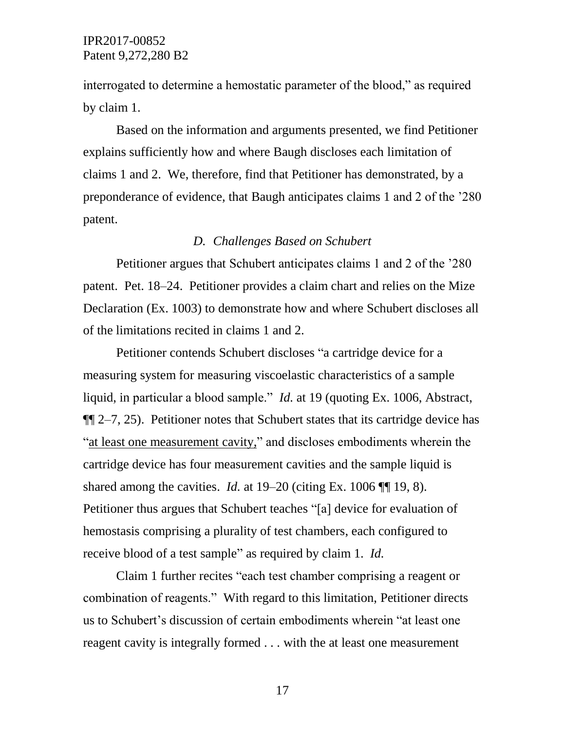interrogated to determine a hemostatic parameter of the blood," as required by claim 1.

Based on the information and arguments presented, we find Petitioner explains sufficiently how and where Baugh discloses each limitation of claims 1 and 2. We, therefore, find that Petitioner has demonstrated, by a preponderance of evidence, that Baugh anticipates claims 1 and 2 of the '280 patent.

# *D. Challenges Based on Schubert*

Petitioner argues that Schubert anticipates claims 1 and 2 of the '280 patent. Pet. 18–24. Petitioner provides a claim chart and relies on the Mize Declaration (Ex. 1003) to demonstrate how and where Schubert discloses all of the limitations recited in claims 1 and 2.

Petitioner contends Schubert discloses "a cartridge device for a measuring system for measuring viscoelastic characteristics of a sample liquid, in particular a blood sample." *Id.* at 19 (quoting Ex. 1006, Abstract,  $\P$  $[2-7, 25)$ . Petitioner notes that Schubert states that its cartridge device has "at least one measurement cavity," and discloses embodiments wherein the cartridge device has four measurement cavities and the sample liquid is shared among the cavities. *Id.* at 19–20 (citing Ex. 1006 ¶ 19, 8). Petitioner thus argues that Schubert teaches "[a] device for evaluation of hemostasis comprising a plurality of test chambers, each configured to receive blood of a test sample" as required by claim 1. *Id.*

Claim 1 further recites "each test chamber comprising a reagent or combination of reagents." With regard to this limitation, Petitioner directs us to Schubert's discussion of certain embodiments wherein "at least one reagent cavity is integrally formed . . . with the at least one measurement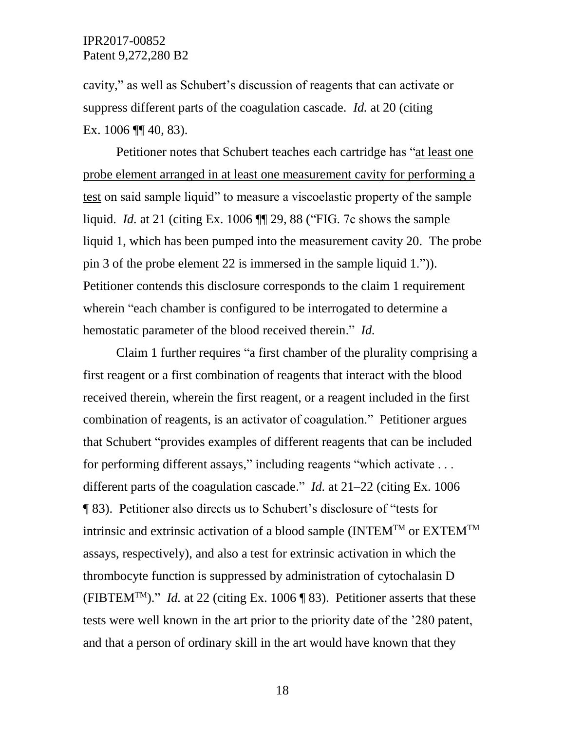cavity," as well as Schubert's discussion of reagents that can activate or suppress different parts of the coagulation cascade. *Id.* at 20 (citing Ex. 1006 ¶¶ 40, 83).

Petitioner notes that Schubert teaches each cartridge has "at least one probe element arranged in at least one measurement cavity for performing a test on said sample liquid" to measure a viscoelastic property of the sample liquid. *Id.* at 21 (citing Ex. 1006 ¶¶ 29, 88 ("FIG. 7c shows the sample liquid 1, which has been pumped into the measurement cavity 20. The probe pin 3 of the probe element 22 is immersed in the sample liquid 1.")). Petitioner contends this disclosure corresponds to the claim 1 requirement wherein "each chamber is configured to be interrogated to determine a hemostatic parameter of the blood received therein." *Id.* 

Claim 1 further requires "a first chamber of the plurality comprising a first reagent or a first combination of reagents that interact with the blood received therein, wherein the first reagent, or a reagent included in the first combination of reagents, is an activator of coagulation." Petitioner argues that Schubert "provides examples of different reagents that can be included for performing different assays," including reagents "which activate . . . different parts of the coagulation cascade." *Id.* at 21–22 (citing Ex. 1006 ¶ 83). Petitioner also directs us to Schubert's disclosure of "tests for intrinsic and extrinsic activation of a blood sample  $(INTER^{TM}$  or  $EXTEM^{TM}$ assays, respectively), and also a test for extrinsic activation in which the thrombocyte function is suppressed by administration of cytochalasin D (FIBTEM<sup>TM</sup>)." *Id.* at 22 (citing Ex. 1006 ¶ 83). Petitioner asserts that these tests were well known in the art prior to the priority date of the '280 patent, and that a person of ordinary skill in the art would have known that they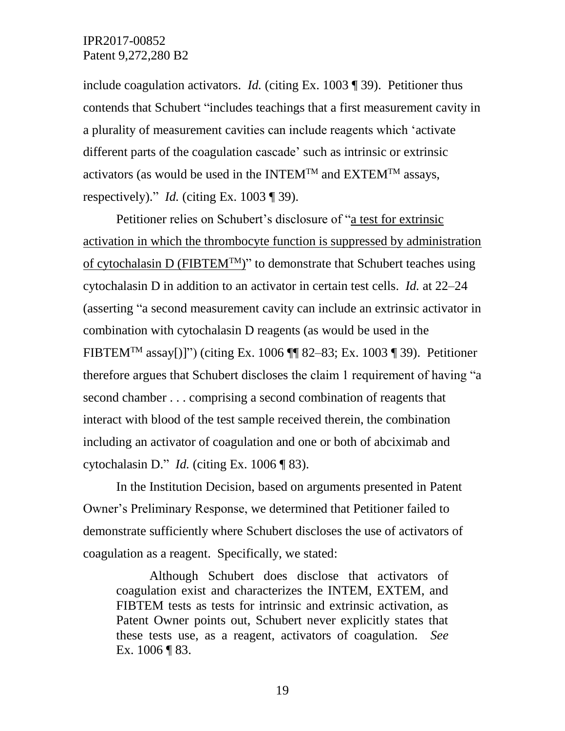include coagulation activators. *Id.* (citing Ex. 1003 ¶ 39). Petitioner thus contends that Schubert "includes teachings that a first measurement cavity in a plurality of measurement cavities can include reagents which 'activate different parts of the coagulation cascade' such as intrinsic or extrinsic activators (as would be used in the INTEM<sup>TM</sup> and EXTEM<sup>TM</sup> assays, respectively)." *Id.* (citing Ex. 1003 ¶ 39).

Petitioner relies on Schubert's disclosure of "a test for extrinsic activation in which the thrombocyte function is suppressed by administration of cytochalasin D (FIBTEM<sup>TM</sup>)" to demonstrate that Schubert teaches using cytochalasin D in addition to an activator in certain test cells. *Id.* at 22–24 (asserting "a second measurement cavity can include an extrinsic activator in combination with cytochalasin D reagents (as would be used in the FIBTEM<sup>TM</sup> assay[)]") (citing Ex. 1006  $\P$  82–83; Ex. 1003  $\P$  39). Petitioner therefore argues that Schubert discloses the claim 1 requirement of having "a second chamber . . . comprising a second combination of reagents that interact with blood of the test sample received therein, the combination including an activator of coagulation and one or both of abciximab and cytochalasin D." *Id.* (citing Ex. 1006 ¶ 83).

In the Institution Decision, based on arguments presented in Patent Owner's Preliminary Response, we determined that Petitioner failed to demonstrate sufficiently where Schubert discloses the use of activators of coagulation as a reagent. Specifically, we stated:

Although Schubert does disclose that activators of coagulation exist and characterizes the INTEM, EXTEM, and FIBTEM tests as tests for intrinsic and extrinsic activation, as Patent Owner points out, Schubert never explicitly states that these tests use, as a reagent, activators of coagulation. *See* Ex. 1006 ¶ 83.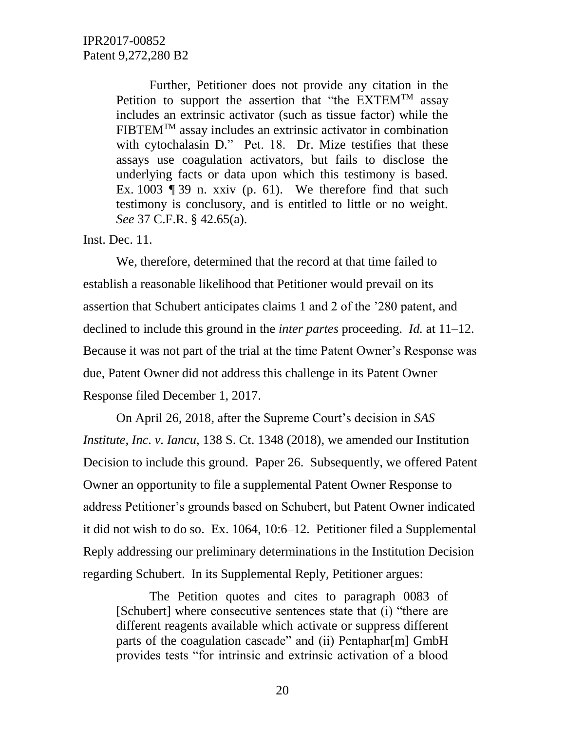Further, Petitioner does not provide any citation in the Petition to support the assertion that "the  $EXTEM^{TM}$  assay includes an extrinsic activator (such as tissue factor) while the  $FIBTEM<sup>TM</sup>$  assay includes an extrinsic activator in combination with cytochalasin D." Pet. 18. Dr. Mize testifies that these assays use coagulation activators, but fails to disclose the underlying facts or data upon which this testimony is based. Ex. 1003 ¶ 39 n. xxiv (p. 61). We therefore find that such testimony is conclusory, and is entitled to little or no weight. *See* 37 C.F.R. § 42.65(a).

Inst. Dec. 11.

We, therefore, determined that the record at that time failed to establish a reasonable likelihood that Petitioner would prevail on its assertion that Schubert anticipates claims 1 and 2 of the '280 patent, and declined to include this ground in the *inter partes* proceeding. *Id.* at 11–12. Because it was not part of the trial at the time Patent Owner's Response was due, Patent Owner did not address this challenge in its Patent Owner Response filed December 1, 2017.

On April 26, 2018, after the Supreme Court's decision in *SAS Institute, Inc. v. Iancu,* 138 S. Ct. 1348 (2018), we amended our Institution Decision to include this ground. Paper 26. Subsequently, we offered Patent Owner an opportunity to file a supplemental Patent Owner Response to address Petitioner's grounds based on Schubert, but Patent Owner indicated it did not wish to do so. Ex. 1064, 10:6–12. Petitioner filed a Supplemental Reply addressing our preliminary determinations in the Institution Decision regarding Schubert. In its Supplemental Reply, Petitioner argues:

The Petition quotes and cites to paragraph 0083 of [Schubert] where consecutive sentences state that (i) "there are different reagents available which activate or suppress different parts of the coagulation cascade" and (ii) Pentaphar[m] GmbH provides tests "for intrinsic and extrinsic activation of a blood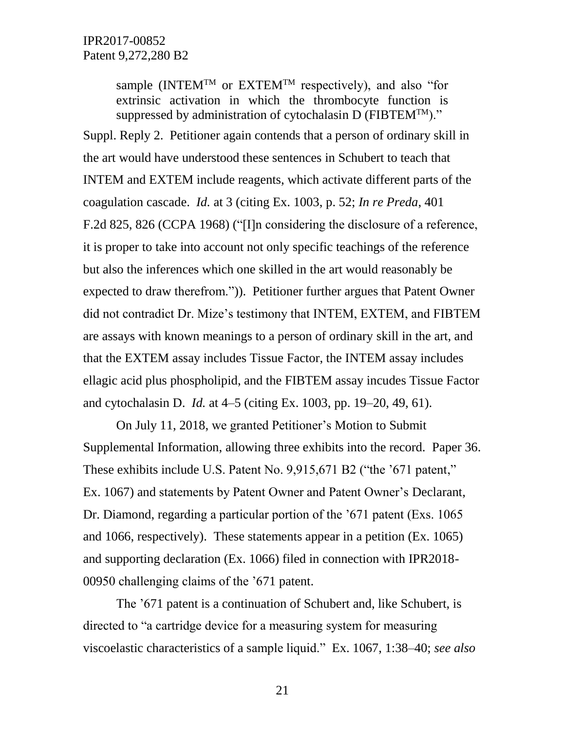sample (INTEM<sup>TM</sup> or EXTEM<sup>TM</sup> respectively), and also "for extrinsic activation in which the thrombocyte function is suppressed by administration of cytochalasin D ( $FIBTEM^{TM}$ )."

Suppl. Reply 2. Petitioner again contends that a person of ordinary skill in the art would have understood these sentences in Schubert to teach that INTEM and EXTEM include reagents, which activate different parts of the coagulation cascade. *Id.* at 3 (citing Ex. 1003, p. 52; *In re Preda*, 401 F.2d 825, 826 (CCPA 1968) ("[I]n considering the disclosure of a reference, it is proper to take into account not only specific teachings of the reference but also the inferences which one skilled in the art would reasonably be expected to draw therefrom.")). Petitioner further argues that Patent Owner did not contradict Dr. Mize's testimony that INTEM, EXTEM, and FIBTEM are assays with known meanings to a person of ordinary skill in the art, and that the EXTEM assay includes Tissue Factor, the INTEM assay includes ellagic acid plus phospholipid, and the FIBTEM assay incudes Tissue Factor and cytochalasin D. *Id.* at 4–5 (citing Ex. 1003, pp. 19–20, 49, 61).

On July 11, 2018, we granted Petitioner's Motion to Submit Supplemental Information, allowing three exhibits into the record. Paper 36. These exhibits include U.S. Patent No. 9,915,671 B2 ("the '671 patent," Ex. 1067) and statements by Patent Owner and Patent Owner's Declarant, Dr. Diamond, regarding a particular portion of the '671 patent (Exs. 1065 and 1066, respectively). These statements appear in a petition (Ex. 1065) and supporting declaration (Ex. 1066) filed in connection with IPR2018- 00950 challenging claims of the '671 patent.

The '671 patent is a continuation of Schubert and, like Schubert, is directed to "a cartridge device for a measuring system for measuring viscoelastic characteristics of a sample liquid." Ex. 1067, 1:38–40; *see also*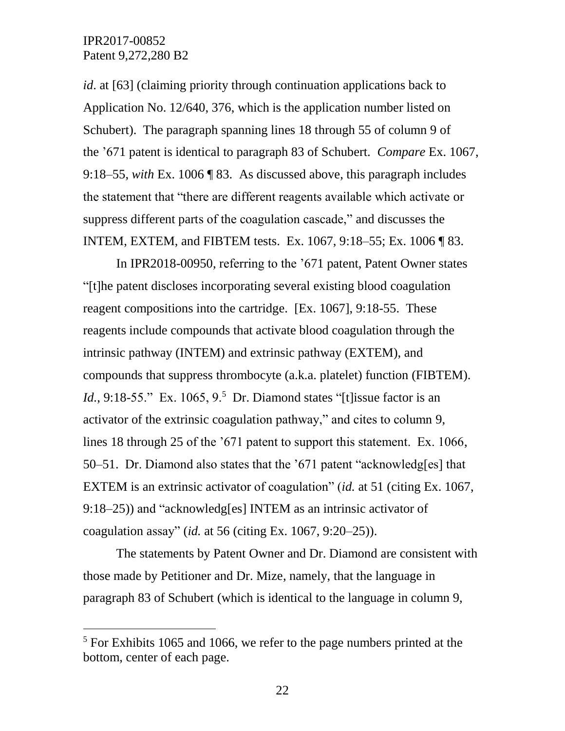$\overline{a}$ 

*id*. at [63] (claiming priority through continuation applications back to Application No. 12/640, 376, which is the application number listed on Schubert). The paragraph spanning lines 18 through 55 of column 9 of the '671 patent is identical to paragraph 83 of Schubert. *Compare* Ex. 1067, 9:18–55, *with* Ex. 1006 ¶ 83. As discussed above, this paragraph includes the statement that "there are different reagents available which activate or suppress different parts of the coagulation cascade," and discusses the INTEM, EXTEM, and FIBTEM tests. Ex. 1067, 9:18–55; Ex. 1006 ¶ 83.

In IPR2018-00950, referring to the '671 patent, Patent Owner states "[t]he patent discloses incorporating several existing blood coagulation reagent compositions into the cartridge. [Ex. 1067], 9:18-55. These reagents include compounds that activate blood coagulation through the intrinsic pathway (INTEM) and extrinsic pathway (EXTEM), and compounds that suppress thrombocyte (a.k.a. platelet) function (FIBTEM). *Id.*, 9:18-55." Ex. 1065, 9.<sup>5</sup> Dr. Diamond states "[t]issue factor is an activator of the extrinsic coagulation pathway," and cites to column 9, lines 18 through 25 of the '671 patent to support this statement. Ex. 1066, 50–51. Dr. Diamond also states that the '671 patent "acknowledg[es] that EXTEM is an extrinsic activator of coagulation" (*id.* at 51 (citing Ex. 1067, 9:18–25)) and "acknowledg[es] INTEM as an intrinsic activator of coagulation assay" (*id.* at 56 (citing Ex. 1067, 9:20–25)).

The statements by Patent Owner and Dr. Diamond are consistent with those made by Petitioner and Dr. Mize, namely, that the language in paragraph 83 of Schubert (which is identical to the language in column 9,

<sup>&</sup>lt;sup>5</sup> For Exhibits 1065 and 1066, we refer to the page numbers printed at the bottom, center of each page.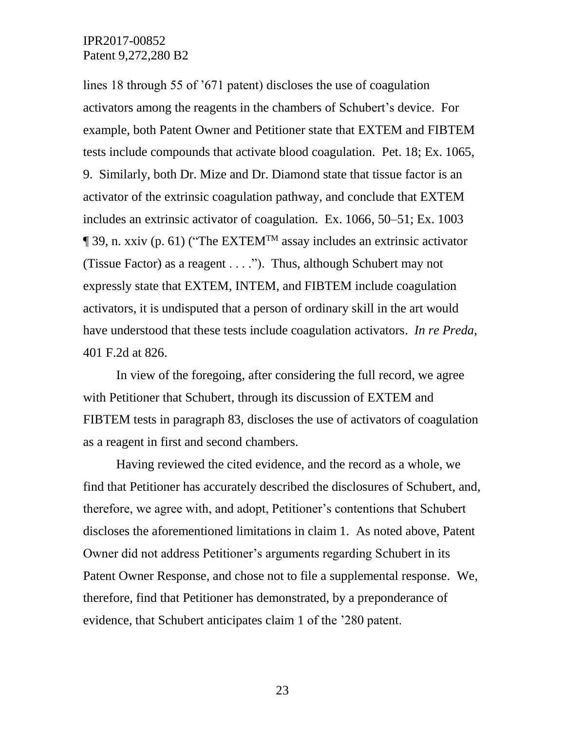lines 18 through 55 of '671 patent) discloses the use of coagulation activators among the reagents in the chambers of Schubert's device. For example, both Patent Owner and Petitioner state that EXTEM and FIBTEM tests include compounds that activate blood coagulation. Pet. 18; Ex. 1065, 9. Similarly, both Dr. Mize and Dr. Diamond state that tissue factor is an activator of the extrinsic coagulation pathway, and conclude that EXTEM includes an extrinsic activator of coagulation. Ex. 1066, 50–51; Ex. 1003  $\P$  39, n. xxiv (p. 61) ("The EXTEM<sup>TM</sup> assay includes an extrinsic activator (Tissue Factor) as a reagent . . . ."). Thus, although Schubert may not expressly state that EXTEM, INTEM, and FIBTEM include coagulation activators, it is undisputed that a person of ordinary skill in the art would have understood that these tests include coagulation activators. *In re Preda*, 401 F.2d at 826.

In view of the foregoing, after considering the full record, we agree with Petitioner that Schubert, through its discussion of EXTEM and FIBTEM tests in paragraph 83, discloses the use of activators of coagulation as a reagent in first and second chambers.

Having reviewed the cited evidence, and the record as a whole, we find that Petitioner has accurately described the disclosures of Schubert, and, therefore, we agree with, and adopt, Petitioner's contentions that Schubert discloses the aforementioned limitations in claim 1. As noted above, Patent Owner did not address Petitioner's arguments regarding Schubert in its Patent Owner Response, and chose not to file a supplemental response. We, therefore, find that Petitioner has demonstrated, by a preponderance of evidence, that Schubert anticipates claim 1 of the '280 patent.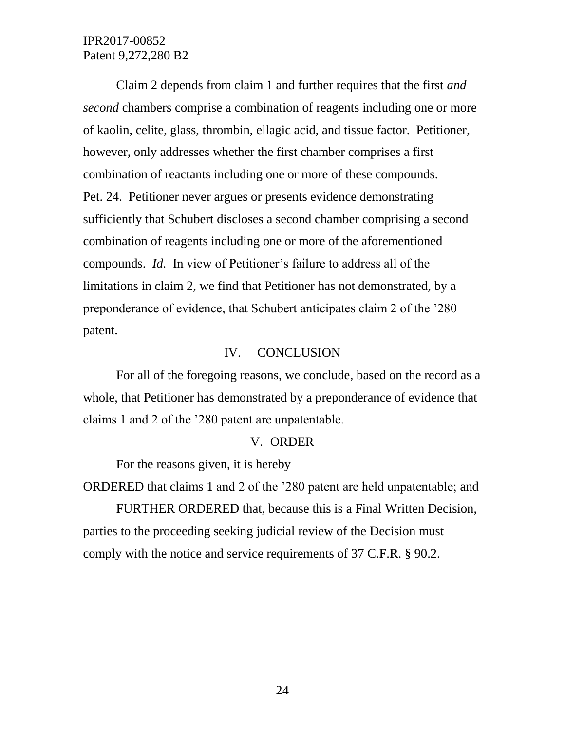Claim 2 depends from claim 1 and further requires that the first *and second* chambers comprise a combination of reagents including one or more of kaolin, celite, glass, thrombin, ellagic acid, and tissue factor. Petitioner, however, only addresses whether the first chamber comprises a first combination of reactants including one or more of these compounds. Pet. 24. Petitioner never argues or presents evidence demonstrating sufficiently that Schubert discloses a second chamber comprising a second combination of reagents including one or more of the aforementioned compounds. *Id.* In view of Petitioner's failure to address all of the limitations in claim 2, we find that Petitioner has not demonstrated, by a preponderance of evidence, that Schubert anticipates claim 2 of the '280 patent.

#### IV. CONCLUSION

For all of the foregoing reasons, we conclude, based on the record as a whole, that Petitioner has demonstrated by a preponderance of evidence that claims 1 and 2 of the '280 patent are unpatentable.

#### V. ORDER

For the reasons given, it is hereby

ORDERED that claims 1 and 2 of the '280 patent are held unpatentable; and

FURTHER ORDERED that, because this is a Final Written Decision, parties to the proceeding seeking judicial review of the Decision must comply with the notice and service requirements of 37 C.F.R. § 90.2.